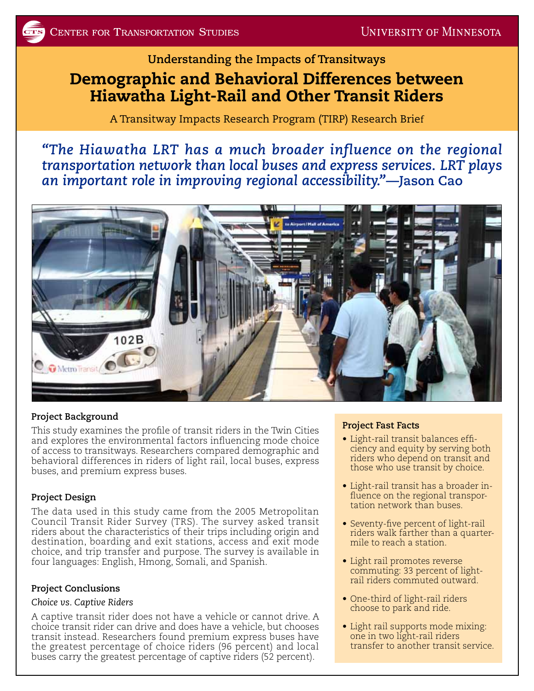## **Understanding the Impacts of Transitways**

# Demographic and Behavioral Differences between Hiawatha Light-Rail and Other Transit Riders

A Transitway Impacts Research Program (TIRP) Research Brief

*"The Hiawatha LRT has a much broader influence on the regional transportation network than local buses and express services. LRT plays an important role in improving regional accessibility."***—Jason Cao**



### **Project Background**

This study examines the profile of transit riders in the Twin Cities and explores the environmental factors influencing mode choice of access to transitways. Researchers compared demographic and behavioral differences in riders of light rail, local buses, express buses, and premium express buses.

### **Project Design**

The data used in this study came from the 2005 Metropolitan Council Transit Rider Survey (TRS). The survey asked transit riders about the characteristics of their trips including origin and destination, boarding and exit stations, access and exit mode choice, and trip transfer and purpose. The survey is available in four languages: English, Hmong, Somali, and Spanish.

### **Project Conclusions**

#### *Choice vs. Captive Riders*

A captive transit rider does not have a vehicle or cannot drive. A choice transit rider can drive and does have a vehicle, but chooses transit instead. Researchers found premium express buses have the greatest percentage of choice riders (96 percent) and local buses carry the greatest percentage of captive riders (52 percent).

### **Project Fast Facts**

- Light-rail transit balances efficiency and equity by serving both riders who depend on transit and those who use transit by choice.
- Light-rail transit has a broader influence on the regional transportation network than buses.
- Seventy-five percent of light-rail riders walk farther than a quartermile to reach a station.
- Light rail promotes reverse commuting: 33 percent of lightrail riders commuted outward.
- One-third of light-rail riders choose to park and ride.
- Light rail supports mode mixing: one in two light-rail riders transfer to another transit service.